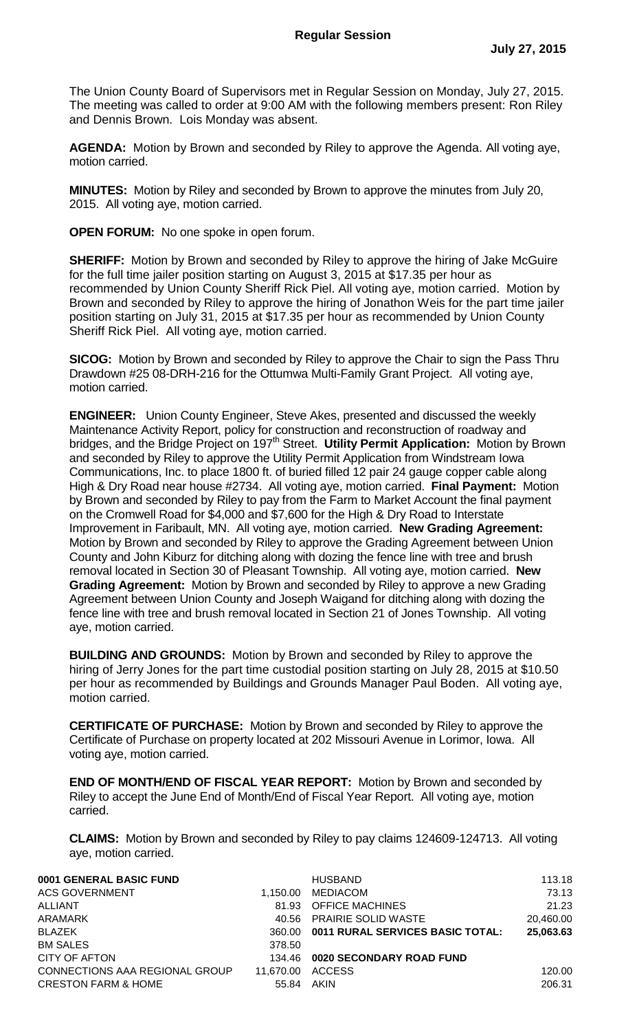The Union County Board of Supervisors met in Regular Session on Monday, July 27, 2015. The meeting was called to order at 9:00 AM with the following members present: Ron Riley and Dennis Brown. Lois Monday was absent.

**AGENDA:** Motion by Brown and seconded by Riley to approve the Agenda. All voting aye, motion carried.

**MINUTES:** Motion by Riley and seconded by Brown to approve the minutes from July 20, 2015. All voting aye, motion carried.

**OPEN FORUM:** No one spoke in open forum.

**SHERIFF:** Motion by Brown and seconded by Riley to approve the hiring of Jake McGuire for the full time jailer position starting on August 3, 2015 at \$17.35 per hour as recommended by Union County Sheriff Rick Piel. All voting aye, motion carried. Motion by Brown and seconded by Riley to approve the hiring of Jonathon Weis for the part time jailer position starting on July 31, 2015 at \$17.35 per hour as recommended by Union County Sheriff Rick Piel. All voting aye, motion carried.

**SICOG:** Motion by Brown and seconded by Riley to approve the Chair to sign the Pass Thru Drawdown #25 08-DRH-216 for the Ottumwa Multi-Family Grant Project. All voting aye, motion carried.

**ENGINEER:** Union County Engineer, Steve Akes, presented and discussed the weekly Maintenance Activity Report, policy for construction and reconstruction of roadway and bridges, and the Bridge Project on 197<sup>th</sup> Street. Utility Permit Application: Motion by Brown and seconded by Riley to approve the Utility Permit Application from Windstream Iowa Communications, Inc. to place 1800 ft. of buried filled 12 pair 24 gauge copper cable along High & Dry Road near house #2734. All voting aye, motion carried. **Final Payment:** Motion by Brown and seconded by Riley to pay from the Farm to Market Account the final payment on the Cromwell Road for \$4,000 and \$7,600 for the High & Dry Road to Interstate Improvement in Faribault, MN. All voting aye, motion carried. **New Grading Agreement:** Motion by Brown and seconded by Riley to approve the Grading Agreement between Union County and John Kiburz for ditching along with dozing the fence line with tree and brush removal located in Section 30 of Pleasant Township. All voting aye, motion carried. **New Grading Agreement:** Motion by Brown and seconded by Riley to approve a new Grading Agreement between Union County and Joseph Waigand for ditching along with dozing the fence line with tree and brush removal located in Section 21 of Jones Township. All voting aye, motion carried.

**BUILDING AND GROUNDS:** Motion by Brown and seconded by Riley to approve the hiring of Jerry Jones for the part time custodial position starting on July 28, 2015 at \$10.50 per hour as recommended by Buildings and Grounds Manager Paul Boden. All voting aye, motion carried.

**CERTIFICATE OF PURCHASE:** Motion by Brown and seconded by Riley to approve the Certificate of Purchase on property located at 202 Missouri Avenue in Lorimor, Iowa. All voting aye, motion carried.

**END OF MONTH/END OF FISCAL YEAR REPORT:** Motion by Brown and seconded by Riley to accept the June End of Month/End of Fiscal Year Report. All voting aye, motion carried.

**CLAIMS:** Motion by Brown and seconded by Riley to pay claims 124609-124713. All voting aye, motion carried.

| 0001 GENERAL BASIC FUND        |           | <b>HUSBAND</b>                          | 113.18    |
|--------------------------------|-----------|-----------------------------------------|-----------|
| <b>ACS GOVERNMENT</b>          | 1.150.00  | MEDIACOM                                | 73.13     |
| ALLIANT                        | 81.93     | <b>OFFICE MACHINES</b>                  | 21.23     |
| ARAMARK                        | 40.56     | <b>PRAIRIE SOLID WASTE</b>              | 20.460.00 |
| <b>BLAZEK</b>                  | 360.00    | <b>0011 RURAL SERVICES BASIC TOTAL:</b> | 25,063.63 |
| <b>BM SALES</b>                | 378.50    |                                         |           |
| CITY OF AFTON                  | 134.46    | 0020 SECONDARY ROAD FUND                |           |
| CONNECTIONS AAA REGIONAL GROUP | 11.670.00 | <b>ACCESS</b>                           | 120.00    |
| <b>CRESTON FARM &amp; HOME</b> | 55.84     | AKIN                                    | 206.31    |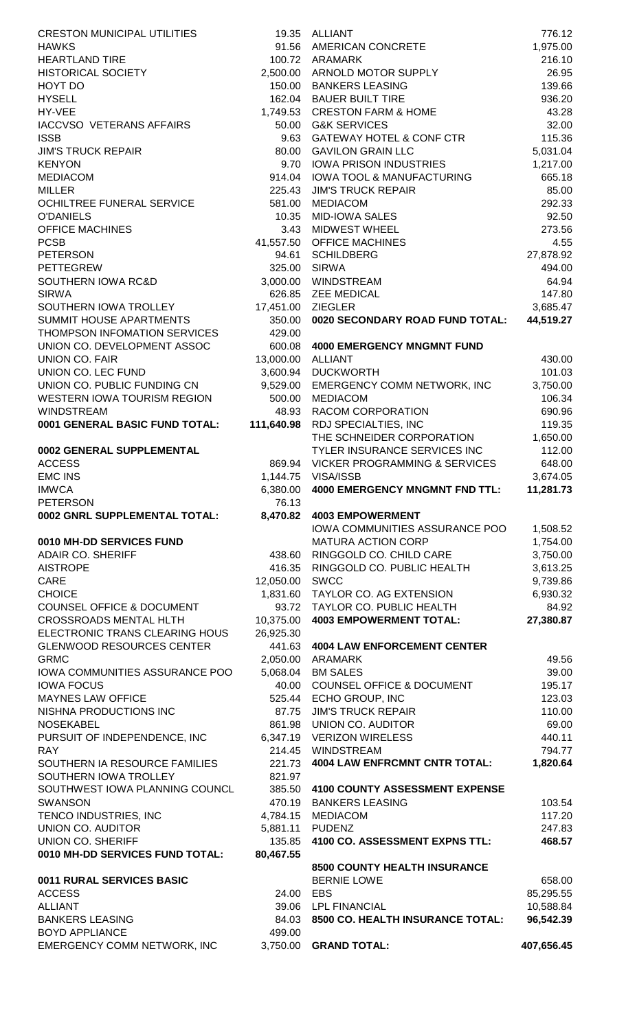| <b>CRESTON MUNICIPAL UTILITIES</b>                   |                   | 19.35 ALLIANT                                            | 776.12             |
|------------------------------------------------------|-------------------|----------------------------------------------------------|--------------------|
| <b>HAWKS</b>                                         | 91.56             | <b>AMERICAN CONCRETE</b>                                 | 1,975.00           |
| <b>HEARTLAND TIRE</b>                                |                   | 100.72 ARAMARK                                           | 216.10             |
| <b>HISTORICAL SOCIETY</b>                            | 2,500.00          | ARNOLD MOTOR SUPPLY                                      | 26.95              |
| HOYT DO                                              | 150.00            | <b>BANKERS LEASING</b>                                   | 139.66             |
| <b>HYSELL</b>                                        |                   | 162.04 BAUER BUILT TIRE                                  | 936.20             |
| HY-VEE                                               |                   | 1,749.53 CRESTON FARM & HOME                             | 43.28              |
| <b>IACCVSO VETERANS AFFAIRS</b><br><b>ISSB</b>       |                   | 50.00 G&K SERVICES<br>9.63 GATEWAY HOTEL & CONF CTR      | 32.00<br>115.36    |
| <b>JIM'S TRUCK REPAIR</b>                            |                   | 80.00 GAVILON GRAIN LLC                                  | 5,031.04           |
| <b>KENYON</b>                                        |                   | 9.70 IOWA PRISON INDUSTRIES                              | 1,217.00           |
| <b>MEDIACOM</b>                                      | 914.04            | <b>IOWA TOOL &amp; MANUFACTURING</b>                     | 665.18             |
| <b>MILLER</b>                                        | 225.43            | <b>JIM'S TRUCK REPAIR</b>                                | 85.00              |
| OCHILTREE FUNERAL SERVICE                            | 581.00            | <b>MEDIACOM</b>                                          | 292.33             |
| <b>O'DANIELS</b>                                     | 10.35             | <b>MID-IOWA SALES</b>                                    | 92.50              |
| <b>OFFICE MACHINES</b>                               | 3.43              | <b>MIDWEST WHEEL</b>                                     | 273.56             |
| <b>PCSB</b>                                          |                   | 41,557.50 OFFICE MACHINES                                | 4.55               |
| <b>PETERSON</b>                                      | 94.61             | <b>SCHILDBERG</b>                                        | 27,878.92          |
| <b>PETTEGREW</b>                                     | 325.00            | <b>SIRWA</b>                                             | 494.00             |
| SOUTHERN IOWA RC&D                                   | 3,000.00          | WINDSTREAM                                               | 64.94              |
| <b>SIRWA</b>                                         | 626.85            | <b>ZEE MEDICAL</b>                                       | 147.80             |
| SOUTHERN IOWA TROLLEY                                | 17,451.00         | <b>ZIEGLER</b>                                           | 3,685.47           |
| SUMMIT HOUSE APARTMENTS                              | 350.00            | 0020 SECONDARY ROAD FUND TOTAL:                          | 44,519.27          |
| THOMPSON INFOMATION SERVICES                         | 429.00            |                                                          |                    |
| UNION CO. DEVELOPMENT ASSOC                          |                   | 600.08 4000 EMERGENCY MNGMNT FUND                        |                    |
| <b>UNION CO. FAIR</b>                                | 13,000.00 ALLIANT |                                                          | 430.00             |
| UNION CO. LEC FUND                                   |                   | 3,600.94 DUCKWORTH                                       | 101.03             |
| UNION CO. PUBLIC FUNDING CN                          | 9,529.00          | <b>EMERGENCY COMM NETWORK, INC</b>                       | 3,750.00           |
| WESTERN IOWA TOURISM REGION                          | 500.00            | <b>MEDIACOM</b>                                          | 106.34             |
| <b>WINDSTREAM</b><br>0001 GENERAL BASIC FUND TOTAL:  | 48.93             | RACOM CORPORATION                                        | 690.96             |
|                                                      | 111,640.98        | <b>RDJ SPECIALTIES, INC</b><br>THE SCHNEIDER CORPORATION | 119.35             |
| 0002 GENERAL SUPPLEMENTAL                            |                   | TYLER INSURANCE SERVICES INC                             | 1,650.00<br>112.00 |
| <b>ACCESS</b>                                        |                   | 869.94 VICKER PROGRAMMING & SERVICES                     | 648.00             |
| <b>EMC INS</b>                                       |                   | 1,144.75 VISA/ISSB                                       | 3,674.05           |
| <b>IMWCA</b>                                         |                   | 6,380.00 4000 EMERGENCY MNGMNT FND TTL:                  | 11,281.73          |
| <b>PETERSON</b>                                      | 76.13             |                                                          |                    |
| 0002 GNRL SUPPLEMENTAL TOTAL:                        | 8,470.82          | <b>4003 EMPOWERMENT</b>                                  |                    |
|                                                      |                   | IOWA COMMUNITIES ASSURANCE POO                           | 1,508.52           |
| 0010 MH-DD SERVICES FUND                             |                   | <b>MATURA ACTION CORP</b>                                | 1,754.00           |
| <b>ADAIR CO. SHERIFF</b>                             | 438.60            | RINGGOLD CO. CHILD CARE                                  | 3,750.00           |
| <b>AISTROPE</b>                                      | 416.35            | RINGGOLD CO. PUBLIC HEALTH                               | 3,613.25           |
| CARE                                                 | 12,050.00         | SWCC                                                     | 9,739.86           |
| <b>CHOICE</b>                                        | 1,831.60          | TAYLOR CO. AG EXTENSION                                  | 6,930.32           |
| <b>COUNSEL OFFICE &amp; DOCUMENT</b>                 | 93.72             | TAYLOR CO. PUBLIC HEALTH                                 | 84.92              |
| <b>CROSSROADS MENTAL HLTH</b>                        | 10,375.00         | <b>4003 EMPOWERMENT TOTAL:</b>                           | 27,380.87          |
| ELECTRONIC TRANS CLEARING HOUS                       | 26,925.30         |                                                          |                    |
| <b>GLENWOOD RESOURCES CENTER</b>                     |                   | 441.63 4004 LAW ENFORCEMENT CENTER                       |                    |
| <b>GRMC</b>                                          |                   | 2,050.00 ARAMARK                                         | 49.56              |
| IOWA COMMUNITIES ASSURANCE POO<br><b>IOWA FOCUS</b>  |                   | 5,068.04 BM SALES<br>40.00 COUNSEL OFFICE & DOCUMENT     | 39.00              |
| <b>MAYNES LAW OFFICE</b>                             |                   | 525.44 ECHO GROUP, INC                                   | 195.17<br>123.03   |
| NISHNA PRODUCTIONS INC                               | 87.75             | <b>JIM'S TRUCK REPAIR</b>                                | 110.00             |
| <b>NOSEKABEL</b>                                     | 861.98            | <b>UNION CO. AUDITOR</b>                                 | 69.00              |
| PURSUIT OF INDEPENDENCE, INC                         | 6,347.19          | <b>VERIZON WIRELESS</b>                                  | 440.11             |
| <b>RAY</b>                                           | 214.45            | <b>WINDSTREAM</b>                                        | 794.77             |
| SOUTHERN IA RESOURCE FAMILIES                        | 221.73            | <b>4004 LAW ENFRCMNT CNTR TOTAL:</b>                     | 1,820.64           |
| SOUTHERN IOWA TROLLEY                                | 821.97            |                                                          |                    |
| SOUTHWEST IOWA PLANNING COUNCL                       | 385.50            | <b>4100 COUNTY ASSESSMENT EXPENSE</b>                    |                    |
| <b>SWANSON</b>                                       |                   | 470.19 BANKERS LEASING                                   | 103.54             |
| TENCO INDUSTRIES, INC                                | 4,784.15          | <b>MEDIACOM</b>                                          | 117.20             |
| UNION CO. AUDITOR                                    | 5,881.11          | <b>PUDENZ</b>                                            | 247.83             |
| UNION CO. SHERIFF                                    | 135.85            | 4100 CO. ASSESSMENT EXPNS TTL:                           | 468.57             |
| 0010 MH-DD SERVICES FUND TOTAL:                      | 80,467.55         |                                                          |                    |
|                                                      |                   | 8500 COUNTY HEALTH INSURANCE                             |                    |
| 0011 RURAL SERVICES BASIC                            |                   | <b>BERNIE LOWE</b>                                       | 658.00             |
| <b>ACCESS</b>                                        | 24.00 EBS         |                                                          | 85,295.55          |
| <b>ALLIANT</b>                                       | 39.06             | <b>LPL FINANCIAL</b>                                     | 10,588.84          |
| <b>BANKERS LEASING</b>                               | 84.03             | 8500 CO. HEALTH INSURANCE TOTAL:                         | 96,542.39          |
|                                                      |                   |                                                          |                    |
| <b>BOYD APPLIANCE</b><br>EMERGENCY COMM NETWORK, INC | 499.00            | 3,750.00 GRAND TOTAL:                                    | 407.656.45         |